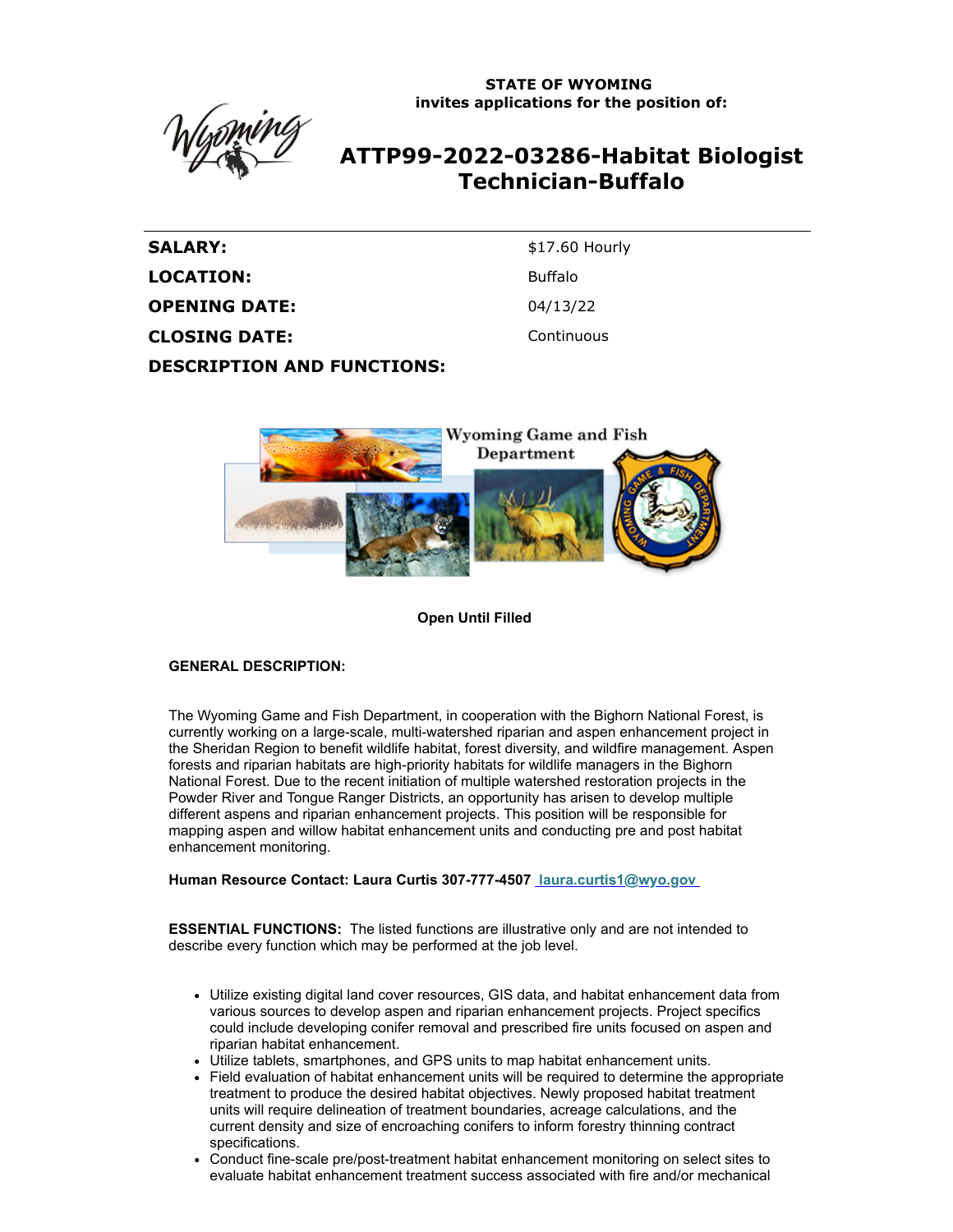**STATE OF WYOMING invites applications for the position of:**



# **ATTP99-2022-03286-Habitat Biologist Technician-Buffalo**

SALARY: \$17.60 Hourly LOCATION: Buffalo **OPENING DATE:** 04/13/22 **CLOSING DATE:** Continuous **DESCRIPTION AND FUNCTIONS:**



**Open Until Filled**

### **GENERAL DESCRIPTION:**

The Wyoming Game and Fish Department, in cooperation with the Bighorn National Forest, is currently working on a large-scale, multi-watershed riparian and aspen enhancement project in the Sheridan Region to benefit wildlife habitat, forest diversity, and wildfire management. Aspen forests and riparian habitats are high-priority habitats for wildlife managers in the Bighorn National Forest. Due to the recent initiation of multiple watershed restoration projects in the Powder River and Tongue Ranger Districts, an opportunity has arisen to develop multiple different aspens and riparian enhancement projects. This position will be responsible for mapping aspen and willow habitat enhancement units and conducting pre and post habitat enhancement monitoring.

**Human Resource Contact: Laura Curtis 307-777-4507 [laura.curtis1@wyo.gov](mailto:laura.curtis1@wyo.gov)**

**ESSENTIAL FUNCTIONS:** The listed functions are illustrative only and are not intended to describe every function which may be performed at the job level.

- Utilize existing digital land cover resources, GIS data, and habitat enhancement data from various sources to develop aspen and riparian enhancement projects. Project specifics could include developing conifer removal and prescribed fire units focused on aspen and riparian habitat enhancement.
- Utilize tablets, smartphones, and GPS units to map habitat enhancement units.
- Field evaluation of habitat enhancement units will be required to determine the appropriate treatment to produce the desired habitat objectives. Newly proposed habitat treatment units will require delineation of treatment boundaries, acreage calculations, and the current density and size of encroaching conifers to inform forestry thinning contract specifications.
- Conduct fine-scale pre/post-treatment habitat enhancement monitoring on select sites to evaluate habitat enhancement treatment success associated with fire and/or mechanical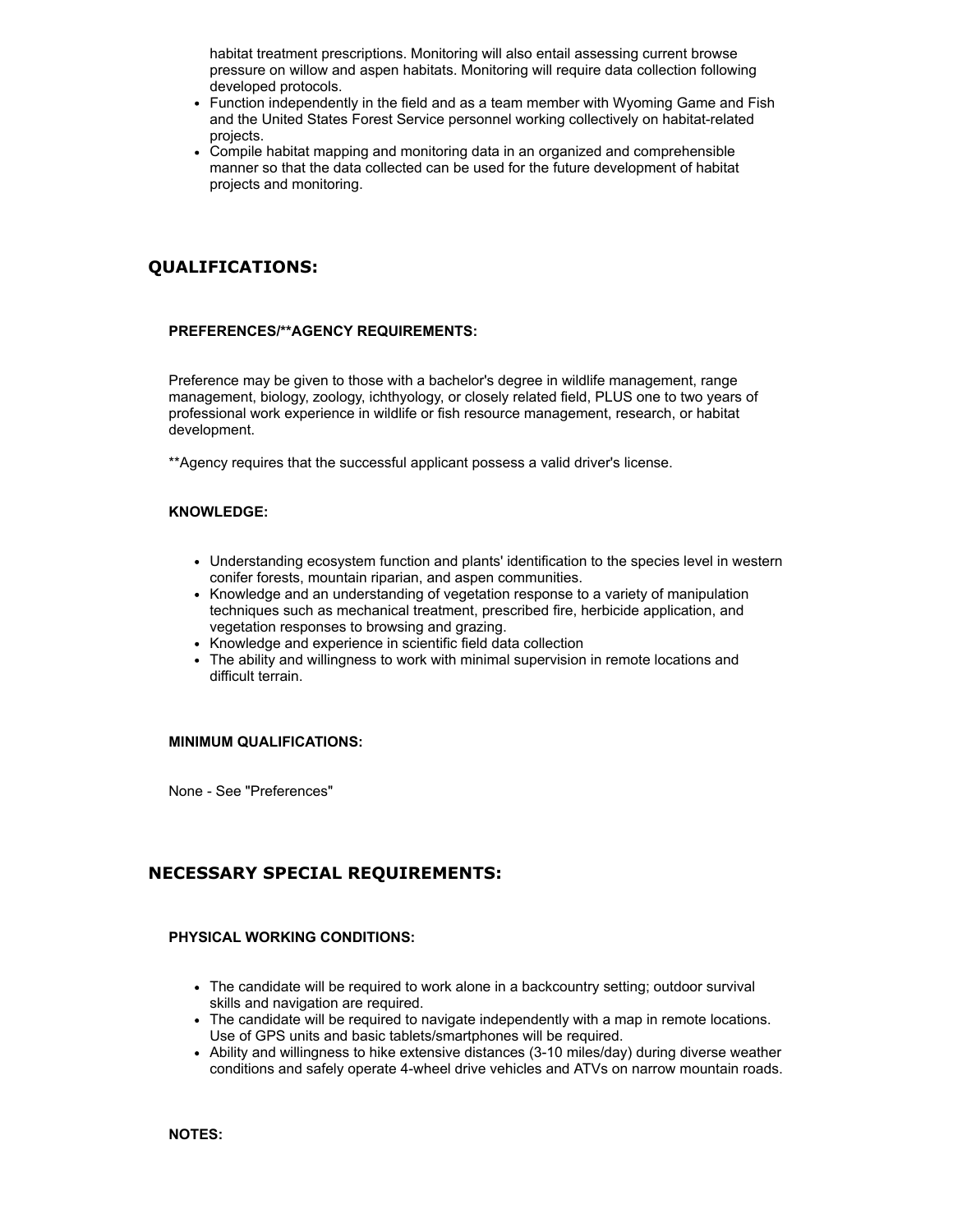habitat treatment prescriptions. Monitoring will also entail assessing current browse pressure on willow and aspen habitats. Monitoring will require data collection following developed protocols.

- Function independently in the field and as a team member with Wyoming Game and Fish and the United States Forest Service personnel working collectively on habitat-related projects.
- Compile habitat mapping and monitoring data in an organized and comprehensible manner so that the data collected can be used for the future development of habitat projects and monitoring.

# **QUALIFICATIONS:**

### **PREFERENCES/\*\*AGENCY REQUIREMENTS:**

Preference may be given to those with a bachelor's degree in wildlife management, range management, biology, zoology, ichthyology, or closely related field, PLUS one to two years of professional work experience in wildlife or fish resource management, research, or habitat development.

\*\*Agency requires that the successful applicant possess a valid driver's license.

#### **KNOWLEDGE:**

- Understanding ecosystem function and plants' identification to the species level in western conifer forests, mountain riparian, and aspen communities.
- Knowledge and an understanding of vegetation response to a variety of manipulation techniques such as mechanical treatment, prescribed fire, herbicide application, and vegetation responses to browsing and grazing.
- Knowledge and experience in scientific field data collection
- The ability and willingness to work with minimal supervision in remote locations and difficult terrain.

#### **MINIMUM QUALIFICATIONS:**

None - See "Preferences"

## **NECESSARY SPECIAL REQUIREMENTS:**

#### **PHYSICAL WORKING CONDITIONS:**

- The candidate will be required to work alone in a backcountry setting; outdoor survival skills and navigation are required.
- The candidate will be required to navigate independently with a map in remote locations. Use of GPS units and basic tablets/smartphones will be required.
- Ability and willingness to hike extensive distances (3-10 miles/day) during diverse weather conditions and safely operate 4-wheel drive vehicles and ATVs on narrow mountain roads.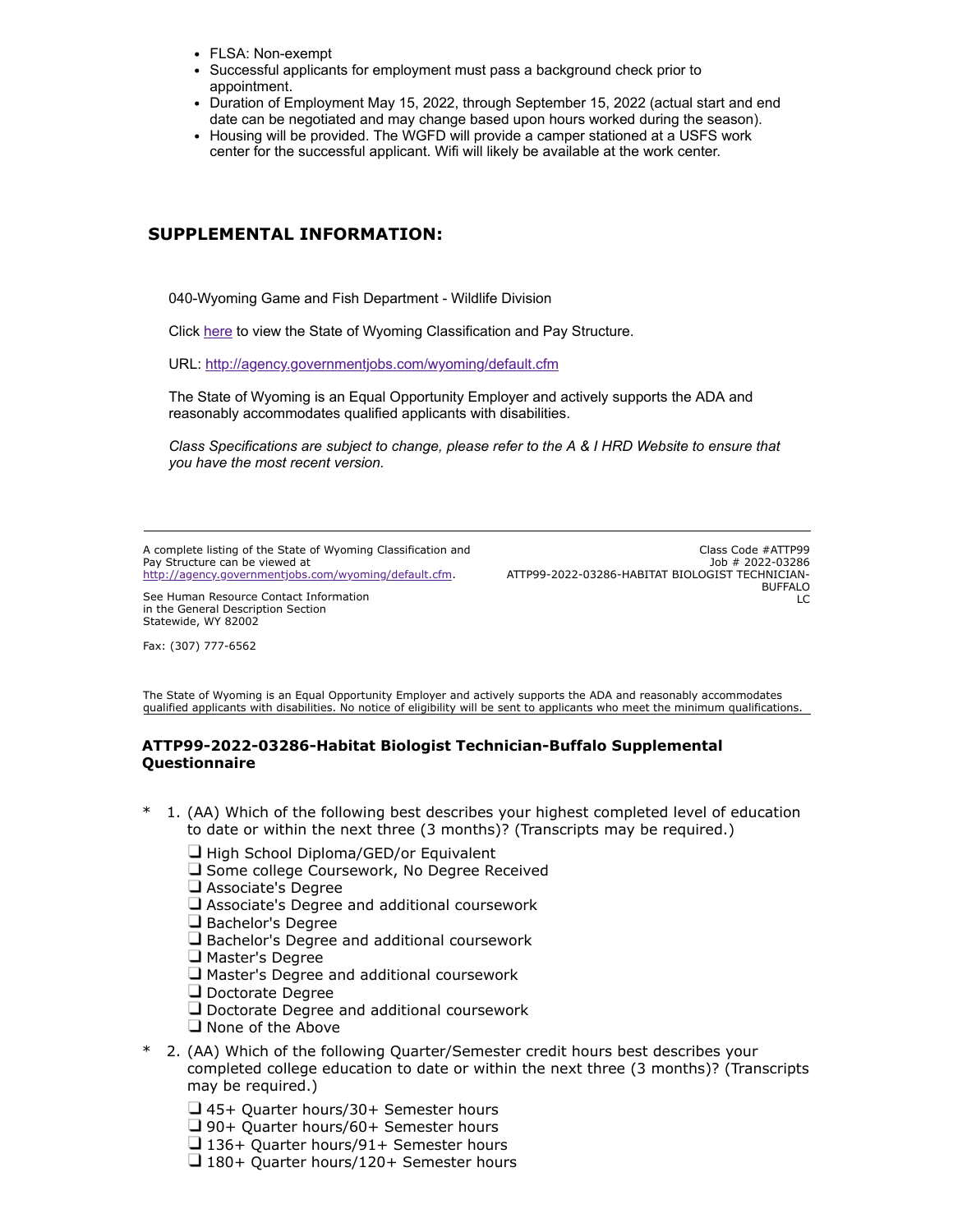- FLSA: Non-exempt
- Successful applicants for employment must pass a background check prior to appointment
- Duration of Employment May 15, 2022, through September 15, 2022 (actual start and end date can be negotiated and may change based upon hours worked during the season).
- Housing will be provided. The WGFD will provide a camper stationed at a USFS work center for the successful applicant. Wifi will likely be available at the work center.

# **SUPPLEMENTAL INFORMATION:**

040-Wyoming Game and Fish Department - Wildlife Division

Click [here](https://ai.wyo.gov/divisions/human-resources/consultative-services/compensation/pay-tables-salary-averages) to view the State of Wyoming Classification and Pay Structure.

URL:<http://agency.governmentjobs.com/wyoming/default.cfm>

The State of Wyoming is an Equal Opportunity Employer and actively supports the ADA and reasonably accommodates qualified applicants with disabilities.

*Class Specifications are subject to change, please refer to the A & I HRD Website to ensure that you have the most recent version.*

A complete listing of the State of Wyoming Classification and Pay Structure can be viewed at [http://agency.governmentjobs.com/wyoming/default.cfm.](http://agency.governmentjobs.com/wyoming/default.cfm)

See Human Resource Contact Information in the General Description Section Statewide, WY 82002

Fax: (307) 777-6562

Class Code #ATTP99 Job # 2022-03286 ATTP99-2022-03286-HABITAT BIOLOGIST TECHNICIAN-BUFFALO  $LC$ 

The State of Wyoming is an Equal Opportunity Employer and actively supports the ADA and reasonably accommodates qualified applicants with disabilities. No notice of eligibility will be sent to applicants who meet the minimum qualifications.

### **ATTP99-2022-03286-Habitat Biologist Technician-Buffalo Supplemental Questionnaire**

- \* 1. (AA) Which of the following best describes your highest completed level of education to date or within the next three (3 months)? (Transcripts may be required.)
	- $\Box$  High School Diploma/GED/or Equivalent
	- □ Some college Coursework, No Degree Received
	- Associate's Degree
	- $\Box$  Associate's Degree and additional coursework
	- $\Box$  Bachelor's Degree
	- $\Box$  Bachelor's Degree and additional coursework
	- $\Box$  Master's Degree
	- Master's Degree and additional coursework
	- Doctorate Degree
	- **Q** Doctorate Degree and additional coursework
	- $\Box$  None of the Above
- \* 2. (AA) Which of the following Quarter/Semester credit hours best describes your completed college education to date or within the next three (3 months)? (Transcripts may be required.)
	- 45+ Quarter hours/30+ Semester hours
	- □ 90+ Quarter hours/60+ Semester hours
	- $\Box$  136+ Quarter hours/91+ Semester hours
	- $\Box$  180+ Quarter hours/120+ Semester hours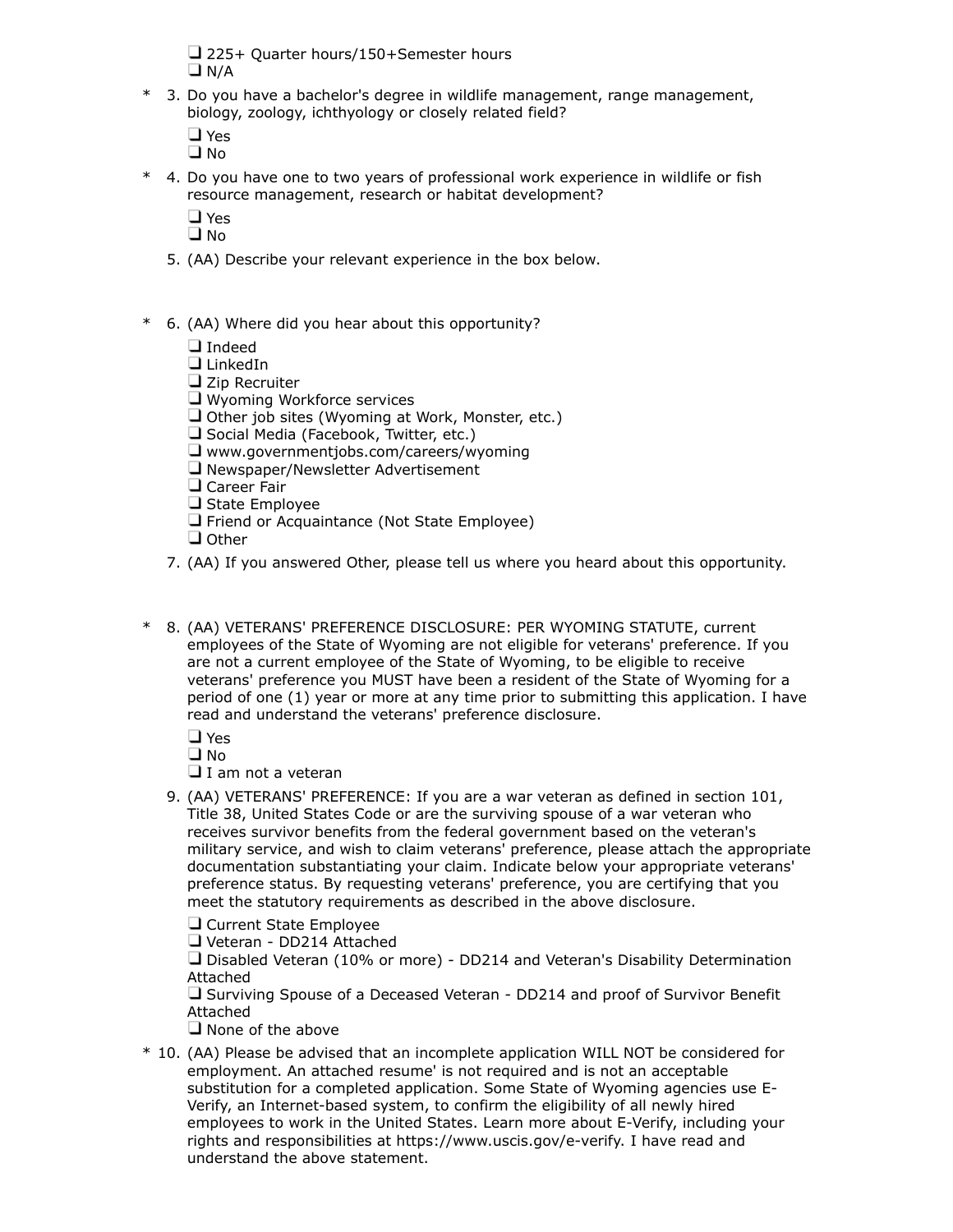225+ Quarter hours/150+Semester hours  $\n **D** N/A$ 

\* 3. Do you have a bachelor's degree in wildlife management, range management, biology, zoology, ichthyology or closely related field?

**D** Yes  $\Box$  No.

- \* 4. Do you have one to two years of professional work experience in wildlife or fish resource management, research or habitat development?
	- **D**Yes

 $\Box$  No.

- 5. (AA) Describe your relevant experience in the box below.
- \* 6. (AA) Where did you hear about this opportunity?

**I**ndeed

**LinkedIn** 

 $\Box$  Zip Recruiter

U Wyoming Workforce services

- $\Box$  Other job sites (Wyoming at Work, Monster, etc.)
- Social Media (Facebook, Twitter, etc.)
- www.governmentjobs.com/careers/wyoming
- Newspaper/Newsletter Advertisement
- **Q** Career Fair
- $\Box$  State Employee
- $\Box$  Friend or Acquaintance (Not State Employee)
- **O**ther
- 7. (AA) If you answered Other, please tell us where you heard about this opportunity.
- \* 8. (AA) VETERANS' PREFERENCE DISCLOSURE: PER WYOMING STATUTE, current employees of the State of Wyoming are not eligible for veterans' preference. If you are not a current employee of the State of Wyoming, to be eligible to receive veterans' preference you MUST have been a resident of the State of Wyoming for a period of one (1) year or more at any time prior to submitting this application. I have read and understand the veterans' preference disclosure.

 $\Box$  Yes

 $\n **Q**$ 

 $\Box$  I am not a veteran

9. (AA) VETERANS' PREFERENCE: If you are a war veteran as defined in section 101, Title 38, United States Code or are the surviving spouse of a war veteran who receives survivor benefits from the federal government based on the veteran's military service, and wish to claim veterans' preference, please attach the appropriate documentation substantiating your claim. Indicate below your appropriate veterans' preference status. By requesting veterans' preference, you are certifying that you meet the statutory requirements as described in the above disclosure.

Current State Employee

Veteran - DD214 Attached

Disabled Veteran (10% or more) - DD214 and Veteran's Disability Determination Attached

 $\Box$  Surviving Spouse of a Deceased Veteran - DD214 and proof of Survivor Benefit Attached

 $\Box$  None of the above

\* 10. (AA) Please be advised that an incomplete application WILL NOT be considered for employment. An attached resume' is not required and is not an acceptable substitution for a completed application. Some State of Wyoming agencies use E-Verify, an Internet-based system, to confirm the eligibility of all newly hired employees to work in the United States. Learn more about E-Verify, including your rights and responsibilities at https://www.uscis.gov/e-verify. I have read and understand the above statement.